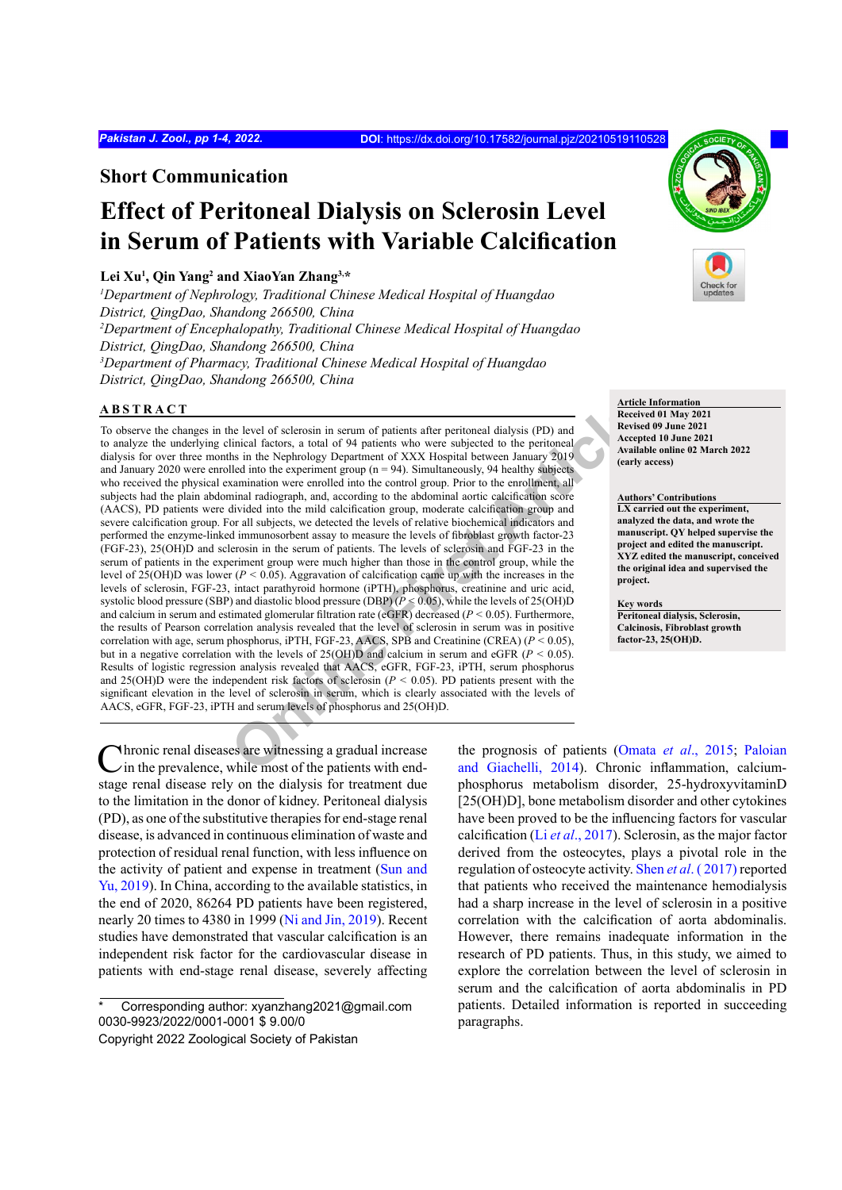# **Short Communication**

# **Effect of Peritoneal Dialysis on Sclerosin Level in Serum of Patients with Variable Calcification**

#### **Lei Xu1 , Qin Yang2 and XiaoYan Zhang3,\***

*1 Department of Nephrology, Traditional Chinese Medical Hospital of Huangdao District, QingDao, Shandong 266500, China 2 Department of Encephalopathy, Traditional Chinese Medical Hospital of Huangdao District, QingDao, Shandong 266500, China 3 Department of Pharmacy, Traditional Chinese Medical Hospital of Huangdao District, QingDao, Shandong 266500, China*

## **ABSTRACT**

The level of sclerosin in serum of patients after peritoneal dialysis (PD) and<br>
Inicial factors, a total of 94 patients who were subjected to the peritoneal<br>
Insignal factors, a total of 94 patients who were subjected to To observe the changes in the level of sclerosin in serum of patients after peritoneal dialysis (PD) and to analyze the underlying clinical factors, a total of 94 patients who were subjected to the peritoneal dialysis for over three months in the Nephrology Department of XXX Hospital between January 2019 and January 2020 were enrolled into the experiment group ( $n = 94$ ). Simultaneously, 94 healthy subjects who received the physical examination were enrolled into the control group. Prior to the enrollment, all subjects had the plain abdominal radiograph, and, according to the abdominal aortic calcification score (AACS), PD patients were divided into the mild calcification group, moderate calcification group and severe calcification group. For all subjects, we detected the levels of relative biochemical indicators and performed the enzyme-linked immunosorbent assay to measure the levels of fibroblast growth factor-23 (FGF-23), 25(OH)D and sclerosin in the serum of patients. The levels of sclerosin and FGF-23 in the serum of patients in the experiment group were much higher than those in the control group, while the level of 25(OH)D was lower ( $P < 0.05$ ). Aggravation of calcification came up with the increases in the levels of sclerosin, FGF-23, intact parathyroid hormone (iPTH), phosphorus, creatinine and uric acid, systolic blood pressure (SBP) and diastolic blood pressure (DBP) (*P <* 0.05), while the levels of 25(OH)D and calcium in serum and estimated glomerular filtration rate (eGFR) decreased (*P <* 0.05). Furthermore, the results of Pearson correlation analysis revealed that the level of sclerosin in serum was in positive correlation with age, serum phosphorus, iPTH, FGF-23, AACS, SPB and Creatinine (CREA) (*P <* 0.05), but in a negative correlation with the levels of  $25(OH)D$  and calcium in serum and eGFR ( $P < 0.05$ ). Results of logistic regression analysis revealed that AACS, eGFR, FGF-23, iPTH, serum phosphorus and 25(OH)D were the independent risk factors of sclerosin (*P <* 0.05). PD patients present with the significant elevation in the level of sclerosin in serum, which is clearly associated with the levels of AACS, eGFR, FGF-23, iPTH and serum levels of phosphorus and 25(OH)D.

**Notative 1** Mercian diseases are witnessing a gradual increase in the prevalence, while most of the patients with endstage renal disease rely on the dialysis for treatment due to the limitation in the donor of kidney. Peritoneal dialysis (PD), as one of the substitutive therapies for end-stage renal disease, is advanced in continuous elimination of waste and protection of residual renal function, with less influence on the activity of patient and expense in treatment ([Sun and](#page-3-0) [Yu, 2019](#page-3-0)). In China, according to the available statistics, in the end of 2020, 86264 PD patients have been registered, nearly 20 times to 4380 in 1999 ([Ni and Jin, 2019](#page-3-1)). Recent studies have demonstrated that vascular calcification is an independent risk factor for the cardiovascular disease in patients with end-stage renal disease, severely affecting

Corresponding author: xyanzhang2021@gmail.com 0030-9923/2022/0001-0001 \$ 9.00/0

the prognosis of patients (Omata *et al*[., 2015](#page-3-2); [Paloian](#page-3-3) and Giachelli, 2014). Chronic inflammation, calciumphosphorus metabolism disorder, 25-hydroxyvitaminD [25(OH)D], bone metabolism disorder and other cytokines have been proved to be the influencing factors for vascular calcification (Li *et al*[., 2017](#page-3-4)). Sclerosin, as the major factor derived from the osteocytes, plays a pivotal role in the regulation of osteocyte activity. Shen *et al*[. \( 2017\)](#page-3-5) reported that patients who received the maintenance hemodialysis had a sharp increase in the level of sclerosin in a positive correlation with the calcification of aorta abdominalis. However, there remains inadequate information in the research of PD patients. Thus, in this study, we aimed to explore the correlation between the level of sclerosin in serum and the calcification of aorta abdominalis in PD patients. Detailed information is reported in succeeding paragraphs.



**Article Information Received 01 May 2021 Revised 09 June 2021 Accepted 10 June 2021 Available online 02 March 2022 (early access)**

**Authors' Contributions LX carried out the experiment, analyzed the data, and wrote the manuscript. QY helped supervise the project and edited the manuscript. XYZ edited the manuscript, conceived the original idea and supervised the project.**

**Key words Peritoneal dialysis, Sclerosin, Calcinosis, Fibroblast growth factor-23, 25(OH)D.**

Copyright 2022 Zoological Society of Pakistan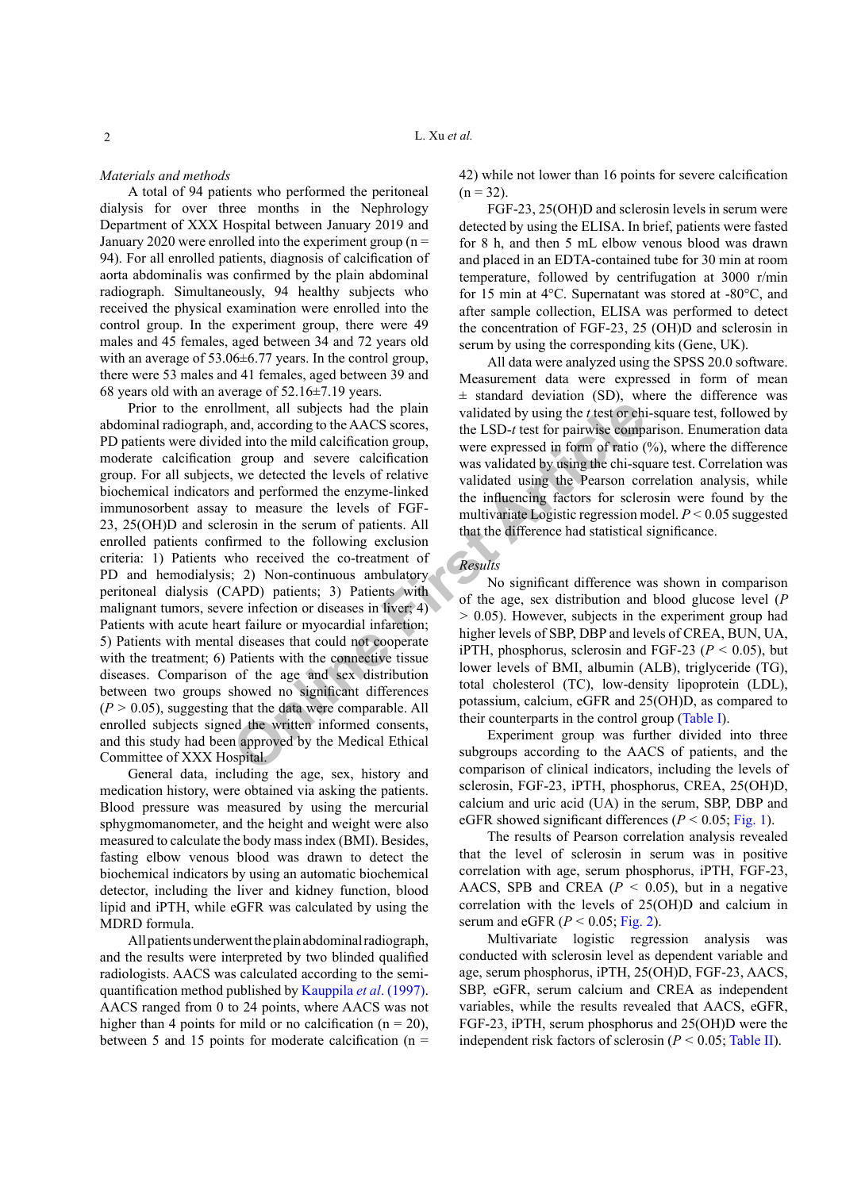#### *Materials and methods*

A total of 94 patients who performed the peritoneal dialysis for over three months in the Nephrology Department of XXX Hospital between January 2019 and January 2020 were enrolled into the experiment group  $(n =$ 94). For all enrolled patients, diagnosis of calcification of aorta abdominalis was confirmed by the plain abdominal radiograph. Simultaneously, 94 healthy subjects who received the physical examination were enrolled into the control group. In the experiment group, there were 49 males and 45 females, aged between 34 and 72 years old with an average of 53.06±6.77 years. In the control group, there were 53 males and 41 females, aged between 39 and 68 years old with an average of 52.16±7.19 years.

Ilment, all subjects had the plain<br>
and, according to the AACS scores,<br>
the LSD-*t* test for pairwise comparent<br>
and into the mild calcification group and severe calcification<br>
in group and severe calcification<br>
were expre Prior to the enrollment, all subjects had the plain abdominal radiograph, and, according to the AACS scores, PD patients were divided into the mild calcification group, moderate calcification group and severe calcification group. For all subjects, we detected the levels of relative biochemical indicators and performed the enzyme-linked immunosorbent assay to measure the levels of FGF-23, 25(OH)D and sclerosin in the serum of patients. All enrolled patients confirmed to the following exclusion criteria: 1) Patients who received the co-treatment of PD and hemodialysis; 2) Non-continuous ambulatory peritoneal dialysis (CAPD) patients; 3) Patients with malignant tumors, severe infection or diseases in liver; 4) Patients with acute heart failure or myocardial infarction; 5) Patients with mental diseases that could not cooperate with the treatment; 6) Patients with the connective tissue diseases. Comparison of the age and sex distribution between two groups showed no significant differences  $(P > 0.05)$ , suggesting that the data were comparable. All enrolled subjects signed the written informed consents, and this study had been approved by the Medical Ethical Committee of XXX Hospital.

General data, including the age, sex, history and medication history, were obtained via asking the patients. Blood pressure was measured by using the mercurial sphygmomanometer, and the height and weight were also measured to calculate the body mass index (BMI). Besides, fasting elbow venous blood was drawn to detect the biochemical indicators by using an automatic biochemical detector, including the liver and kidney function, blood lipid and iPTH, while eGFR was calculated by using the MDRD formula.

All patients underwent the plain abdominal radiograph, and the results were interpreted by two blinded qualified radiologists. AACS was calculated according to the semiquantification method published by [Kauppila](#page-3-6) *et al*. (1997). AACS ranged from 0 to 24 points, where AACS was not higher than 4 points for mild or no calcification ( $n = 20$ ), between 5 and 15 points for moderate calcification ( $n =$  42) while not lower than 16 points for severe calcification  $(n = 32)$ .

FGF-23, 25(OH)D and sclerosin levels in serum were detected by using the ELISA. In brief, patients were fasted for 8 h, and then 5 mL elbow venous blood was drawn and placed in an EDTA-contained tube for 30 min at room temperature, followed by centrifugation at 3000 r/min for 15 min at 4°C. Supernatant was stored at -80°C, and after sample collection, ELISA was performed to detect the concentration of FGF-23, 25 (OH)D and sclerosin in serum by using the corresponding kits (Gene, UK).

All data were analyzed using the SPSS 20.0 software. Measurement data were expressed in form of mean  $\pm$  standard deviation (SD), where the difference was validated by using the *t* test or chi-square test, followed by the LSD-*t* test for pairwise comparison. Enumeration data were expressed in form of ratio (%), where the difference was validated by using the chi-square test. Correlation was validated using the Pearson correlation analysis, while the influencing factors for sclerosin were found by the multivariate Logistic regression model. *P <* 0.05 suggested that the difference had statistical significance.

## *Results*

No significant difference was shown in comparison of the age, sex distribution and blood glucose level (*P >* 0.05). However, subjects in the experiment group had higher levels of SBP, DBP and levels of CREA, BUN, UA, iPTH, phosphorus, sclerosin and FGF-23 ( $P < 0.05$ ), but lower levels of BMI, albumin (ALB), triglyceride (TG), total cholesterol (TC), low-density lipoprotein (LDL), potassium, calcium, eGFR and 25(OH)D, as compared to their counterparts in the control group ([Table](#page-2-0) I).

Experiment group was further divided into three subgroups according to the AACS of patients, and the comparison of clinical indicators, including the levels of sclerosin, FGF-23, iPTH, phosphorus, CREA, 25(OH)D, calcium and uric acid (UA) in the serum, SBP, DBP and eGFR showed significant differences ( $P < 0.05$ ; [Fig.](#page-2-1) 1).

The results of Pearson correlation analysis revealed that the level of sclerosin in serum was in positive correlation with age, serum phosphorus, iPTH, FGF-23, AACS, SPB and CREA  $(P < 0.05)$ , but in a negative correlation with the levels of 25(OH)D and calcium in serum and eGFR  $(P < 0.05; Fig. 2)$  $(P < 0.05; Fig. 2)$  $(P < 0.05; Fig. 2)$ .

Multivariate logistic regression analysis was conducted with sclerosin level as dependent variable and age, serum phosphorus, iPTH, 25(OH)D, FGF-23, AACS, SBP, eGFR, serum calcium and CREA as independent variables, while the results revealed that AACS, eGFR, FGF-23, iPTH, serum phosphorus and 25(OH)D were the independent risk factors of sclerosin ( $P < 0.05$ ; [Table](#page-3-8) II).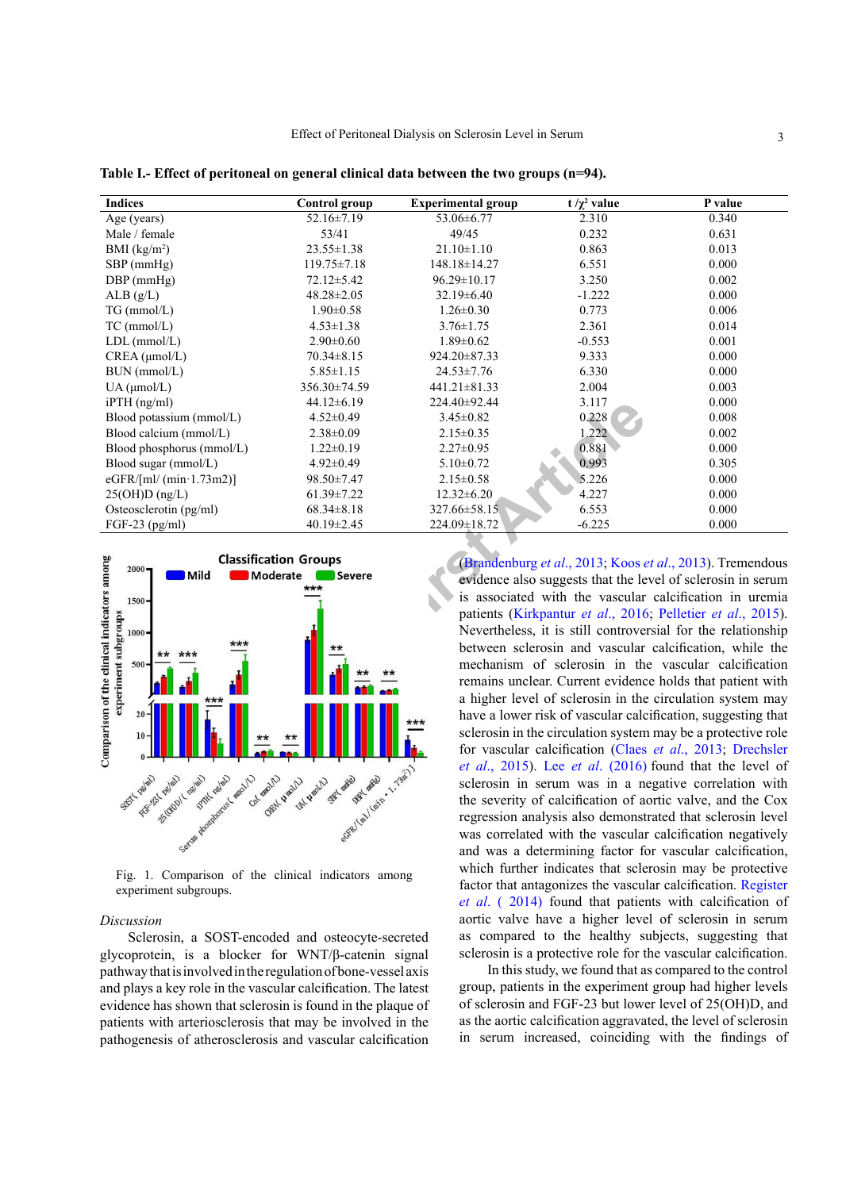| <b>Indices</b>                                                                                                                                       | <b>Control</b> group                                      | <b>Experimental group</b> | t / $\chi^2$ value                                                                                                                                                                                                                                                                                                                                                                                                                                                                                                                                                                                                                                                                              | P value |
|------------------------------------------------------------------------------------------------------------------------------------------------------|-----------------------------------------------------------|---------------------------|-------------------------------------------------------------------------------------------------------------------------------------------------------------------------------------------------------------------------------------------------------------------------------------------------------------------------------------------------------------------------------------------------------------------------------------------------------------------------------------------------------------------------------------------------------------------------------------------------------------------------------------------------------------------------------------------------|---------|
| Age (years)                                                                                                                                          | 52.16±7.19                                                | 53.06±6.77                | 2.310                                                                                                                                                                                                                                                                                                                                                                                                                                                                                                                                                                                                                                                                                           | 0.340   |
| Male / female                                                                                                                                        | 53/41                                                     | 49/45                     | 0.232                                                                                                                                                                                                                                                                                                                                                                                                                                                                                                                                                                                                                                                                                           | 0.631   |
| BMI $(kg/m2)$                                                                                                                                        | $23.55 \pm 1.38$                                          | $21.10 \pm 1.10$          | 0.863                                                                                                                                                                                                                                                                                                                                                                                                                                                                                                                                                                                                                                                                                           | 0.013   |
| SBP (mmHg)                                                                                                                                           | $119.75 \pm 7.18$                                         | 148.18±14.27              | 6.551                                                                                                                                                                                                                                                                                                                                                                                                                                                                                                                                                                                                                                                                                           | 0.000   |
| $DBP$ (mmHg)                                                                                                                                         | $72.12 \pm 5.42$                                          | 96.29±10.17               | 3.250                                                                                                                                                                                                                                                                                                                                                                                                                                                                                                                                                                                                                                                                                           | 0.002   |
| ALB(g/L)                                                                                                                                             | $48.28 \pm 2.05$                                          | $32.19 \pm 6.40$          | $-1.222$                                                                                                                                                                                                                                                                                                                                                                                                                                                                                                                                                                                                                                                                                        | 0.000   |
| $TG$ (mmol/L)                                                                                                                                        | $1.90 \pm 0.58$                                           | $1.26 \pm 0.30$           | 0.773                                                                                                                                                                                                                                                                                                                                                                                                                                                                                                                                                                                                                                                                                           | 0.006   |
| $TC$ (mmol/L)                                                                                                                                        | $4.53 \pm 1.38$                                           | $3.76 \pm 1.75$           | 2.361                                                                                                                                                                                                                                                                                                                                                                                                                                                                                                                                                                                                                                                                                           | 0.014   |
| $LDL$ (mmol/ $L$ )                                                                                                                                   | $2.90 \pm 0.60$                                           | $1.89 \pm 0.62$           | $-0.553$                                                                                                                                                                                                                                                                                                                                                                                                                                                                                                                                                                                                                                                                                        | 0.001   |
| CREA (µmol/L)                                                                                                                                        | 70.34±8.15                                                | 924.20±87.33              | 9.333                                                                                                                                                                                                                                                                                                                                                                                                                                                                                                                                                                                                                                                                                           | 0.000   |
| BUN (mmol/L)                                                                                                                                         | $5.85 \pm 1.15$                                           | 24.53±7.76                | 6.330                                                                                                                                                                                                                                                                                                                                                                                                                                                                                                                                                                                                                                                                                           | 0.000   |
| UA (µmol/L)                                                                                                                                          | 356.30±74.59                                              | 441.21±81.33              | 2.004                                                                                                                                                                                                                                                                                                                                                                                                                                                                                                                                                                                                                                                                                           | 0.003   |
| $i$ PTH $(ng/ml)$                                                                                                                                    | $44.12 \pm 6.19$                                          | 224.40±92.44              | 3.117                                                                                                                                                                                                                                                                                                                                                                                                                                                                                                                                                                                                                                                                                           | 0.000   |
| Blood potassium (mmol/L)                                                                                                                             | $4.52 \pm 0.49$                                           | $3.45 \pm 0.82$           | 0.228                                                                                                                                                                                                                                                                                                                                                                                                                                                                                                                                                                                                                                                                                           | 0.008   |
| Blood calcium (mmol/L)                                                                                                                               | $2.38 \pm 0.09$                                           | $2.15 \pm 0.35$           | 1.222                                                                                                                                                                                                                                                                                                                                                                                                                                                                                                                                                                                                                                                                                           | 0.002   |
| Blood phosphorus (mmol/L)                                                                                                                            | $1.22 \pm 0.19$                                           | $2.27 \pm 0.95$           | 0.881                                                                                                                                                                                                                                                                                                                                                                                                                                                                                                                                                                                                                                                                                           | 0.000   |
| Blood sugar (mmol/L)                                                                                                                                 | $4.92 \pm 0.49$                                           | $5.10 \pm 0.72$           | 0.993                                                                                                                                                                                                                                                                                                                                                                                                                                                                                                                                                                                                                                                                                           | 0.305   |
| eGFR/[ml/ $(min \cdot 1.73m2)]$                                                                                                                      | 98.50±7.47                                                | $2.15 \pm 0.58$           | 5.226                                                                                                                                                                                                                                                                                                                                                                                                                                                                                                                                                                                                                                                                                           | 0.000   |
| $25(OH)D$ (ng/L)                                                                                                                                     | $61.39 \pm 7.22$                                          | $12.32 \pm 6.20$          | 4.227                                                                                                                                                                                                                                                                                                                                                                                                                                                                                                                                                                                                                                                                                           | 0.000   |
| Osteosclerotin (pg/ml)                                                                                                                               | $68.34 \pm 8.18$                                          | 327.66±58.15              | 6.553                                                                                                                                                                                                                                                                                                                                                                                                                                                                                                                                                                                                                                                                                           | 0.000   |
| FGF-23 $(pg/ml)$                                                                                                                                     | 40.19±2.45                                                | 224.09±18.72              | $-6.225$                                                                                                                                                                                                                                                                                                                                                                                                                                                                                                                                                                                                                                                                                        | 0.000   |
| Comparison of the clinical indicators among<br>$2000 -$<br>Mild<br>$1500 -$<br>experiment subgroups<br>$1000 -$<br>***<br>$500 -$<br>***<br>20<br>10 | <b>Classification Groups</b><br>Moderate<br>Severe<br>*** |                           | (Brandenburg et al., 2013; Koos et al., 2013). Tremendous<br>evidence also suggests that the level of sclerosin in serum<br>is associated with the vascular calcification in uremia<br>patients (Kirkpantur et al., 2016; Pelletier et al., 2015).<br>Nevertheless, it is still controversial for the relationship<br>between sclerosin and vascular calcification, while the<br>mechanism of sclerosin in the vascular calcification<br>remains unclear. Current evidence holds that patient with<br>a higher level of sclerosin in the circulation system may<br>have a lower risk of vascular calcification, suggesting that<br>sclerosin in the circulation system may be a protective role |         |
|                                                                                                                                                      |                                                           |                           | for vascular calcification (Claes et al., 2013; Drechsler<br>et al., 2015). Lee et al. (2016) found that the level of                                                                                                                                                                                                                                                                                                                                                                                                                                                                                                                                                                           |         |

<span id="page-2-0"></span>**Table I.- Effect of peritoneal on general clinical data between the two groups (n=94).**



<span id="page-2-1"></span>Fig. 1. Comparison of the clinical indicators among experiment subgroups.

#### *Discussion*

Sclerosin, a SOST-encoded and osteocyte-secreted glycoprotein, is a blocker for WNT/β-catenin signal pathway that is involved in the regulation of bone-vessel axis and plays a key role in the vascular calcification. The latest evidence has shown that sclerosin is found in the plaque of patients with arteriosclerosis that may be involved in the pathogenesis of atherosclerosis and vascular calcification

(Brandenburg *et al*., 2013; Koos *et al*., 2013). Tremendous evidence also suggests that the level of sclerosin in serum is associated with the vascular calcification in uremia patients (Kirkpantur *et al*., 2016; [Pelletier](#page-3-10) *et al*., 2015). Nevertheless, it is still controversial for the relationship between sclerosin and vascular calcification, while the mechanism of sclerosin in the vascular calcification remains unclear. Current evidence holds that patient with a higher level of sclerosin in the circulation system may have a lower risk of vascular calcification, suggesting that sclerosin in the circulation system may be a protective role for vascular calcification (Claes *et al*., 2013; [Drechsler](#page-3-11) *et al*., 2015). Lee *et al*. (2016) found that the level of sclerosin in serum was in a negative correlation with the severity of calcification of aortic valve, and the Cox regression analysis also demonstrated that sclerosin level was correlated with the vascular calcification negatively and was a determining factor for vascular calcification, which further indicates that sclerosin may be protective factor that antagonizes the vascular calcification. [Register](#page-3-13) *et al*[. \( 2014\)](#page-3-13) found that patients with calcification of aortic valve have a higher level of sclerosin in serum as compared to the healthy subjects, suggesting that sclerosin is a protective role for the vascular calcification.

In this study, we found that as compared to the control group, patients in the experiment group had higher levels of sclerosin and FGF-23 but lower level of 25(OH)D, and as the aortic calcification aggravated, the level of sclerosin in serum increased, coinciding with the findings of